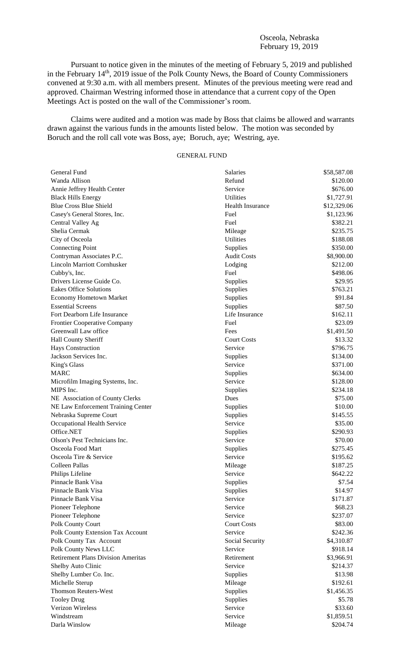## Osceola, Nebraska February 19, 2019

Pursuant to notice given in the minutes of the meeting of February 5, 2019 and published in the February 14<sup>th</sup>, 2019 issue of the Polk County News, the Board of County Commissioners convened at 9:30 a.m. with all members present. Minutes of the previous meeting were read and approved. Chairman Westring informed those in attendance that a current copy of the Open Meetings Act is posted on the wall of the Commissioner's room.

Claims were audited and a motion was made by Boss that claims be allowed and warrants drawn against the various funds in the amounts listed below. The motion was seconded by Boruch and the roll call vote was Boss, aye; Boruch, aye; Westring, aye.

# GENERAL FUND

| General Fund                              | Salaries                | \$58,587.08 |
|-------------------------------------------|-------------------------|-------------|
| Wanda Allison                             | Refund                  | \$120.00    |
| Annie Jeffrey Health Center               | Service                 | \$676.00    |
| <b>Black Hills Energy</b>                 | <b>Utilities</b>        | \$1,727.91  |
| <b>Blue Cross Blue Shield</b>             | <b>Health Insurance</b> | \$12,329.06 |
| Casey's General Stores, Inc.              | Fuel                    | \$1,123.96  |
| Central Valley Ag                         | Fuel                    | \$382.21    |
| Shelia Cermak                             | Mileage                 | \$235.75    |
| City of Osceola                           | <b>Utilities</b>        | \$188.08    |
| <b>Connecting Point</b>                   | Supplies                | \$350.00    |
| Contryman Associates P.C.                 | <b>Audit Costs</b>      | \$8,900.00  |
| <b>Lincoln Marriott Cornhusker</b>        | Lodging                 | \$212.00    |
| Cubby's, Inc.                             | Fuel                    | \$498.06    |
| Drivers License Guide Co.                 | Supplies                | \$29.95     |
| <b>Eakes Office Solutions</b>             | Supplies                | \$763.21    |
| <b>Economy Hometown Market</b>            | Supplies                | \$91.84     |
| <b>Essential Screens</b>                  | Supplies                | \$87.50     |
| Fort Dearborn Life Insurance              | Life Insurance          | \$162.11    |
| Frontier Cooperative Company              | Fuel                    | \$23.09     |
| Greenwall Law office                      | Fees                    | \$1,491.50  |
| Hall County Sheriff                       | <b>Court Costs</b>      | \$13.32     |
| <b>Hays Construction</b>                  | Service                 | \$796.75    |
| Jackson Services Inc.                     | Supplies                | \$134.00    |
| King's Glass                              | Service                 | \$371.00    |
| <b>MARC</b>                               | Supplies                | \$634.00    |
| Microfilm Imaging Systems, Inc.           | Service                 | \$128.00    |
| MIPS Inc.                                 | Supplies                | \$234.18    |
| NE Association of County Clerks           | Dues                    | \$75.00     |
| NE Law Enforcement Training Center        | Supplies                | \$10.00     |
| Nebraska Supreme Court                    | Supplies                | \$145.55    |
| Occupational Health Service               | Service                 | \$35.00     |
| Office.NET                                | Supplies                | \$290.93    |
| Olson's Pest Technicians Inc.             | Service                 | \$70.00     |
| Osceola Food Mart                         | Supplies                | \$275.45    |
| Osceola Tire & Service                    | Service                 | \$195.62    |
| Colleen Pallas                            | Mileage                 | \$187.25    |
| Philips Lifeline                          | Service                 | \$642.22    |
| Pinnacle Bank Visa                        | Supplies                | \$7.54      |
| Pinnacle Bank Visa                        | Supplies                | \$14.97     |
| Pinnacle Bank Visa                        | Service                 | \$171.87    |
| Pioneer Telephone                         | Service                 | \$68.23     |
| Pioneer Telephone                         | Service                 | \$237.07    |
| Polk County Court                         | <b>Court Costs</b>      | \$83.00     |
| Polk County Extension Tax Account         | Service                 | \$242.36    |
| Polk County Tax Account                   | Social Security         | \$4,310.87  |
| Polk County News LLC                      | Service                 | \$918.14    |
| <b>Retirement Plans Division Ameritas</b> | Retirement              | \$3,966.91  |
| Shelby Auto Clinic                        | Service                 | \$214.37    |
| Shelby Lumber Co. Inc.                    | Supplies                | \$13.98     |
| Michelle Sterup                           | Mileage                 | \$192.61    |
| <b>Thomson Reuters-West</b>               | Supplies                | \$1,456.35  |
| <b>Tooley Drug</b>                        | Supplies                | \$5.78      |
| Verizon Wireless                          | Service                 | \$33.60     |
| Windstream                                | Service                 | \$1,859.51  |
| Darla Winslow                             | Mileage                 | \$204.74    |
|                                           |                         |             |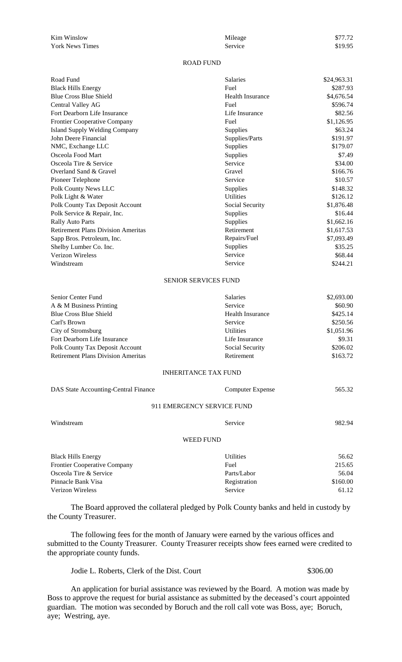| Kim Winslow            | Mileage | \$77.72 |
|------------------------|---------|---------|
| <b>York News Times</b> | Service | \$19.95 |
|                        |         |         |

# ROAD FUND

| Road Fund                                 | Salaries               | \$24,963.31 |
|-------------------------------------------|------------------------|-------------|
| <b>Black Hills Energy</b>                 | Fuel                   | \$287.93    |
| <b>Blue Cross Blue Shield</b>             | Health Insurance       | \$4,676.54  |
| Central Valley AG                         | Fuel                   | \$596.74    |
| Fort Dearborn Life Insurance              | Life Insurance         | \$82.56     |
| Frontier Cooperative Company              | Fuel                   | \$1,126.95  |
| <b>Island Supply Welding Company</b>      | <b>Supplies</b>        | \$63.24     |
| John Deere Financial                      | Supplies/Parts         | \$191.97    |
| NMC, Exchange LLC                         | <b>Supplies</b>        | \$179.07    |
| Osceola Food Mart                         | Supplies               | \$7.49      |
| Osceola Tire & Service                    | Service                | \$34.00     |
| Overland Sand & Gravel                    | Gravel                 | \$166.76    |
| Pioneer Telephone                         | Service                | \$10.57     |
| Polk County News LLC                      | Supplies               | \$148.32    |
| Polk Light & Water                        | Utilities              | \$126.12    |
| Polk County Tax Deposit Account           | Social Security        | \$1,876.48  |
| Polk Service & Repair, Inc.               | Supplies               | \$16.44     |
| <b>Rally Auto Parts</b>                   | Supplies               | \$1,662.16  |
| <b>Retirement Plans Division Ameritas</b> | Retirement             | \$1,617.53  |
| Sapp Bros. Petroleum, Inc.                | Repairs/Fuel           | \$7,093.49  |
| Shelby Lumber Co. Inc.                    | Supplies               | \$35.25     |
| Verizon Wireless                          | Service                | \$68.44     |
| Windstream                                | Service                | \$244.21    |
|                                           | CEMIOD CEDVICEC ELIMID |             |

### SENIOR SERVICES FUND

| Senior Center Fund                        | <b>Salaries</b>         | \$2,693.00 |
|-------------------------------------------|-------------------------|------------|
| A & M Business Printing                   | Service                 | \$60.90    |
| <b>Blue Cross Blue Shield</b>             | <b>Health Insurance</b> | \$425.14   |
| Carl's Brown                              | Service                 | \$250.56   |
| City of Stromsburg                        | <b>Utilities</b>        | \$1,051.96 |
| Fort Dearborn Life Insurance              | Life Insurance          | \$9.31     |
| Polk County Tax Deposit Account           | Social Security         | \$206.02   |
| <b>Retirement Plans Division Ameritas</b> | Retirement              | \$163.72   |

## INHERITANCE TAX FUND

| DAS State Accounting-Central Finance | Computer Expense           | 565.32 |
|--------------------------------------|----------------------------|--------|
|                                      | 911 EMERGENCY SERVICE FUND |        |
| Windstream                           | Service                    | 982.94 |
|                                      | <b>WEED FUND</b>           |        |
| <b>Black Hills Energy</b>            | <b>Utilities</b>           | 56.62  |
| <b>Frontier Cooperative Company</b>  | Fuel                       | 215.65 |
| Osceola Tire & Service               | Parts/Labor                | 56.04  |

The Board approved the collateral pledged by Polk County banks and held in custody by the County Treasurer.

Pinnacle Bank Visa Registration \$160.00 Verizon Wireless Service 61.12

The following fees for the month of January were earned by the various offices and submitted to the County Treasurer. County Treasurer receipts show fees earned were credited to the appropriate county funds.

Jodie L. Roberts, Clerk of the Dist. Court \$306.00

An application for burial assistance was reviewed by the Board. A motion was made by Boss to approve the request for burial assistance as submitted by the deceased's court appointed guardian. The motion was seconded by Boruch and the roll call vote was Boss, aye; Boruch, aye; Westring, aye.